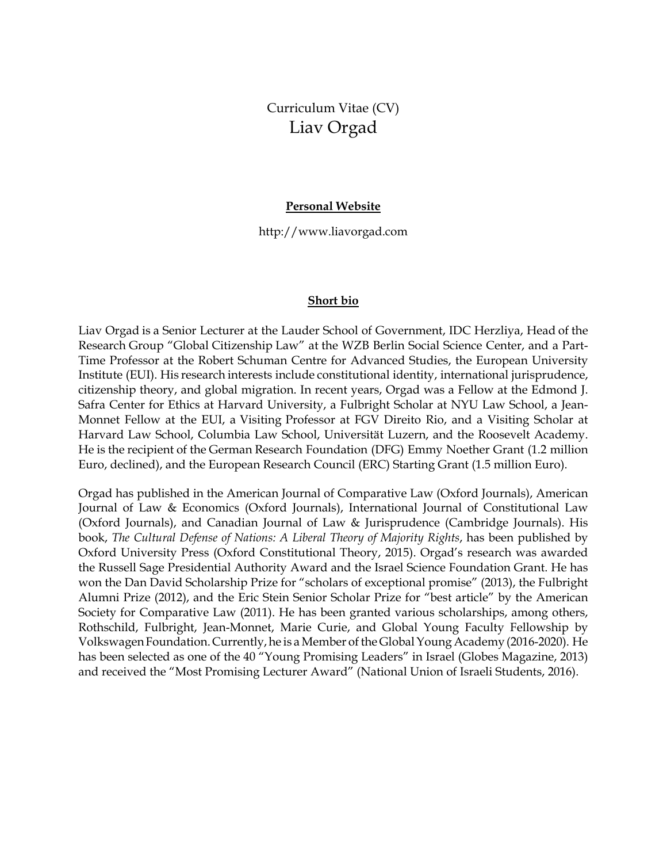# Curriculum Vitae (CV) Liav Orgad

#### **Personal Website**

http://www.liavorgad.com

#### **Short bio**

Liav Orgad is a Senior Lecturer at the Lauder School of Government, IDC Herzliya, Head of the Research Group "Global Citizenship Law" at the WZB Berlin Social Science Center, and a Part-Time Professor at the Robert Schuman Centre for Advanced Studies, the European University Institute (EUI). His research interests include constitutional identity, international jurisprudence, citizenship theory, and global migration. In recent years, Orgad was a Fellow at the Edmond J. Safra Center for Ethics at Harvard University, a Fulbright Scholar at NYU Law School, a Jean-Monnet Fellow at the EUI, a Visiting Professor at FGV Direito Rio, and a Visiting Scholar at Harvard Law School, Columbia Law School, Universität Luzern, and the Roosevelt Academy. He is the recipient of the German Research Foundation (DFG) Emmy Noether Grant (1.2 million Euro, declined), and the European Research Council (ERC) Starting Grant (1.5 million Euro).

Orgad has published in the American Journal of Comparative Law (Oxford Journals), American Journal of Law & Economics (Oxford Journals), International Journal of Constitutional Law (Oxford Journals), and Canadian Journal of Law & Jurisprudence (Cambridge Journals). His book, *The Cultural Defense of Nations: A Liberal Theory of Majority Rights*, has been published by Oxford University Press (Oxford Constitutional Theory, 2015). Orgad's research was awarded the Russell Sage Presidential Authority Award and the Israel Science Foundation Grant. He has won the Dan David Scholarship Prize for "scholars of exceptional promise" (2013), the Fulbright Alumni Prize (2012), and the Eric Stein Senior Scholar Prize for "best article" by the American Society for Comparative Law (2011). He has been granted various scholarships, among others, Rothschild, Fulbright, Jean-Monnet, Marie Curie, and Global Young Faculty Fellowship by VolkswagenFoundation.Currently,he is a Member ofthe GlobalYoung Academy(2016-2020). He has been selected as one of the 40 "Young Promising Leaders" in Israel (Globes Magazine, 2013) and received the "Most Promising Lecturer Award" (National Union of Israeli Students, 2016).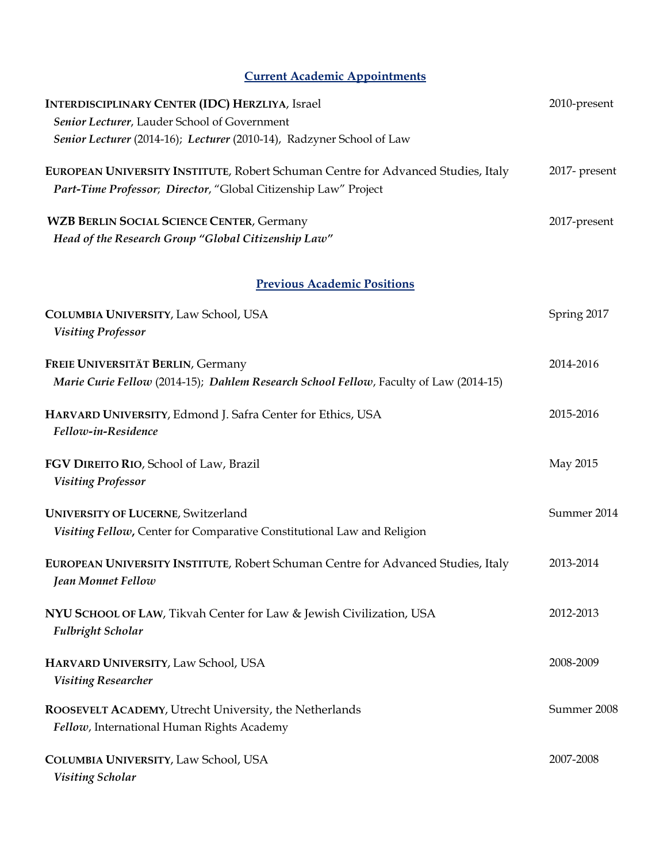# **Current Academic Appointments**

| <b>INTERDISCIPLINARY CENTER (IDC) HERZLIYA, Israel</b>                                                                     | 2010-present  |
|----------------------------------------------------------------------------------------------------------------------------|---------------|
| Senior Lecturer, Lauder School of Government                                                                               |               |
| Senior Lecturer (2014-16); Lecturer (2010-14), Radzyner School of Law                                                      |               |
| EUROPEAN UNIVERSITY INSTITUTE, Robert Schuman Centre for Advanced Studies, Italy                                           | 2017- present |
| Part-Time Professor; Director, "Global Citizenship Law" Project                                                            |               |
| <b>WZB BERLIN SOCIAL SCIENCE CENTER, Germany</b>                                                                           | 2017-present  |
| Head of the Research Group "Global Citizenship Law"                                                                        |               |
| <b>Previous Academic Positions</b>                                                                                         |               |
| COLUMBIA UNIVERSITY, Law School, USA<br><b>Visiting Professor</b>                                                          | Spring 2017   |
| FREIE UNIVERSITÄT BERLIN, Germany<br>Marie Curie Fellow (2014-15); Dahlem Research School Fellow, Faculty of Law (2014-15) | 2014-2016     |
| HARVARD UNIVERSITY, Edmond J. Safra Center for Ethics, USA<br>Fellow-in-Residence                                          | 2015-2016     |
| FGV DIREITO RIO, School of Law, Brazil<br><b>Visiting Professor</b>                                                        | May 2015      |
| <b>UNIVERSITY OF LUCERNE, Switzerland</b><br>Visiting Fellow, Center for Comparative Constitutional Law and Religion       | Summer 2014   |
| EUROPEAN UNIVERSITY INSTITUTE, Robert Schuman Centre for Advanced Studies, Italy<br>Jean Monnet Fellow                     | 2013-2014     |
| NYU SCHOOL OF LAW, Tikvah Center for Law & Jewish Civilization, USA<br><b>Fulbright Scholar</b>                            | 2012-2013     |
| HARVARD UNIVERSITY, Law School, USA<br><b>Visiting Researcher</b>                                                          | 2008-2009     |
| ROOSEVELT ACADEMY, Utrecht University, the Netherlands<br>Fellow, International Human Rights Academy                       | Summer 2008   |
| COLUMBIA UNIVERSITY, Law School, USA<br>Visiting Scholar                                                                   | 2007-2008     |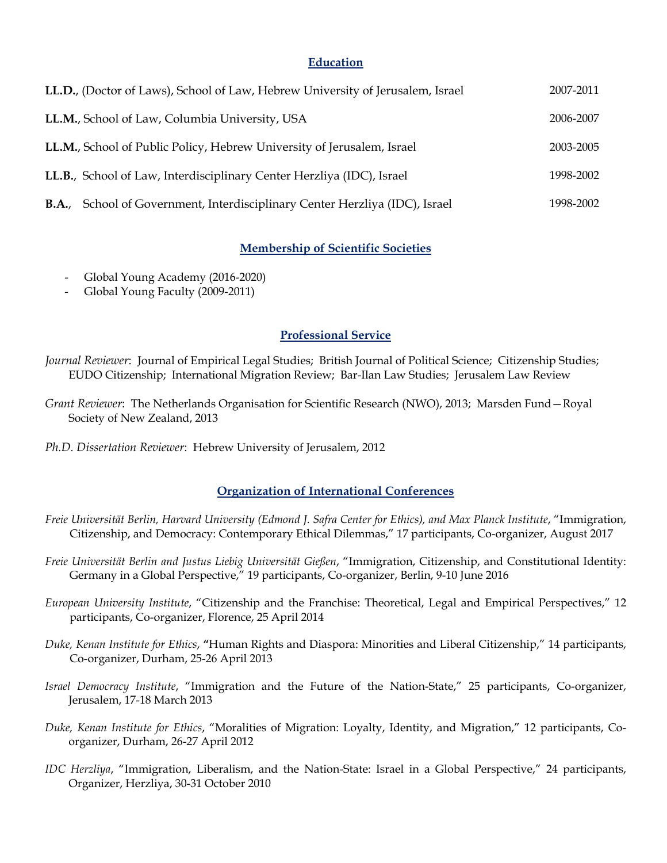#### **Education**

| LL.D., (Doctor of Laws), School of Law, Hebrew University of Jerusalem, Israel     | 2007-2011 |
|------------------------------------------------------------------------------------|-----------|
| LL.M., School of Law, Columbia University, USA                                     | 2006-2007 |
| LL.M., School of Public Policy, Hebrew University of Jerusalem, Israel             | 2003-2005 |
| LL.B., School of Law, Interdisciplinary Center Herzliya (IDC), Israel              | 1998-2002 |
| <b>B.A.,</b> School of Government, Interdisciplinary Center Herzliya (IDC), Israel | 1998-2002 |

# **Membership of Scientific Societies**

- Global Young Academy (2016-2020)
- Global Young Faculty (2009-2011)

#### **Professional Service**

*Journal Reviewer*: Journal of Empirical Legal Studies; British Journal of Political Science; Citizenship Studies; EUDO Citizenship; International Migration Review; Bar-Ilan Law Studies; Jerusalem Law Review

*Grant Reviewer*: The Netherlands Organisation for Scientific Research (NWO), 2013; Marsden Fund—Royal Society of New Zealand, 2013

*Ph.D. Dissertation Reviewer*: Hebrew University of Jerusalem, 2012

#### **Organization of International Conferences**

- *Freie Universität Berlin, Harvard University (Edmond J. Safra Center for Ethics), and Max Planck Institute*, "Immigration, Citizenship, and Democracy: Contemporary Ethical Dilemmas," 17 participants, Co-organizer, August 2017
- *Freie Universität Berlin and Justus Liebig Universität Gießen*, "Immigration, Citizenship, and Constitutional Identity: Germany in a Global Perspective," 19 participants, Co-organizer, Berlin, 9-10 June 2016
- *European University Institute*, "Citizenship and the Franchise: Theoretical, Legal and Empirical Perspectives," 12 participants, Co-organizer, Florence, 25 April 2014
- *Duke, Kenan Institute for Ethics*, **"**Human Rights and Diaspora: Minorities and Liberal Citizenship," 14 participants, Co-organizer, Durham, 25-26 April 2013
- *Israel Democracy Institute*, "Immigration and the Future of the Nation-State," 25 participants, Co-organizer, Jerusalem, 17-18 March 2013
- *Duke, Kenan Institute for Ethics*, "Moralities of Migration: Loyalty, Identity, and Migration," 12 participants, Coorganizer, Durham, 26-27 April 2012
- *IDC Herzliya*, "Immigration, Liberalism, and the Nation-State: Israel in a Global Perspective," 24 participants, Organizer, Herzliya, 30-31 October 2010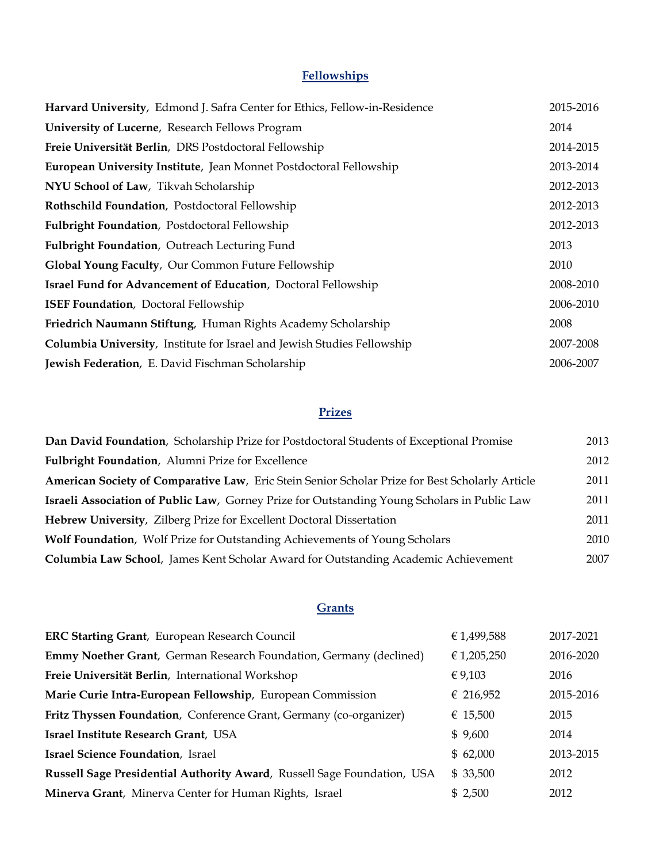# **Fellowships**

| Harvard University, Edmond J. Safra Center for Ethics, Fellow-in-Residence | 2015-2016 |
|----------------------------------------------------------------------------|-----------|
| <b>University of Lucerne</b> , Research Fellows Program                    | 2014      |
| Freie Universität Berlin, DRS Postdoctoral Fellowship                      | 2014-2015 |
| European University Institute, Jean Monnet Postdoctoral Fellowship         | 2013-2014 |
| NYU School of Law, Tikvah Scholarship                                      | 2012-2013 |
| Rothschild Foundation, Postdoctoral Fellowship                             | 2012-2013 |
| Fulbright Foundation, Postdoctoral Fellowship                              | 2012-2013 |
| Fulbright Foundation, Outreach Lecturing Fund                              | 2013      |
| Global Young Faculty, Our Common Future Fellowship                         | 2010      |
| <b>Israel Fund for Advancement of Education</b> , Doctoral Fellowship      |           |
| <b>ISEF Foundation</b> , Doctoral Fellowship                               | 2006-2010 |
| Friedrich Naumann Stiftung, Human Rights Academy Scholarship               | 2008      |
| Columbia University, Institute for Israel and Jewish Studies Fellowship    | 2007-2008 |
| Jewish Federation, E. David Fischman Scholarship                           | 2006-2007 |

# **Prizes**

| Dan David Foundation, Scholarship Prize for Postdoctoral Students of Exceptional Promise        | 2013 |
|-------------------------------------------------------------------------------------------------|------|
| Fulbright Foundation, Alumni Prize for Excellence                                               | 2012 |
| American Society of Comparative Law, Eric Stein Senior Scholar Prize for Best Scholarly Article | 2011 |
| Israeli Association of Public Law, Gorney Prize for Outstanding Young Scholars in Public Law    | 2011 |
| Hebrew University, Zilberg Prize for Excellent Doctoral Dissertation                            | 2011 |
| <b>Wolf Foundation, Wolf Prize for Outstanding Achievements of Young Scholars</b>               | 2010 |
| Columbia Law School, James Kent Scholar Award for Outstanding Academic Achievement              | 2007 |

# **Grants**

| <b>ERC Starting Grant</b> , European Research Council                     | € 1,499,588 | 2017-2021 |
|---------------------------------------------------------------------------|-------------|-----------|
| <b>Emmy Noether Grant, German Research Foundation, Germany (declined)</b> | € 1,205,250 | 2016-2020 |
| Freie Universität Berlin, International Workshop                          | € 9,103     | 2016      |
| Marie Curie Intra-European Fellowship, European Commission                | € 216,952   | 2015-2016 |
| Fritz Thyssen Foundation, Conference Grant, Germany (co-organizer)        | € 15,500    | 2015      |
| Israel Institute Research Grant, USA                                      | \$9,600     | 2014      |
| <b>Israel Science Foundation</b> , Israel                                 | \$62,000    | 2013-2015 |
| Russell Sage Presidential Authority Award, Russell Sage Foundation, USA   | \$33,500    | 2012      |
| Minerva Grant, Minerva Center for Human Rights, Israel                    | \$2,500     | 2012      |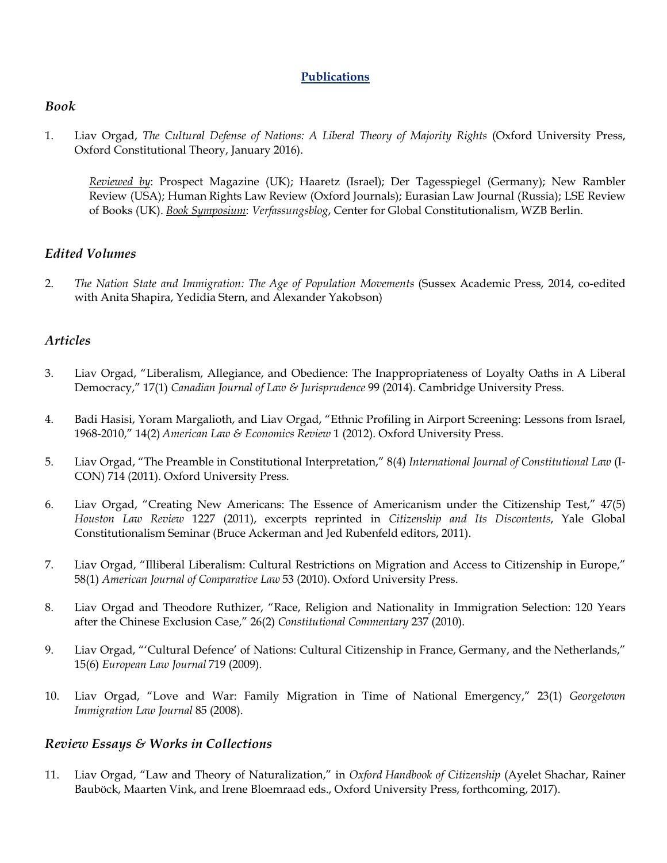# **Publications**

# *Book*

1. Liav Orgad, *The Cultural Defense of Nations: A Liberal Theory of Majority Rights* (Oxford University Press, Oxford Constitutional Theory, January 2016).

*Reviewed by*: Prospect Magazine (UK); Haaretz (Israel); Der Tagesspiegel (Germany); New Rambler Review (USA); Human Rights Law Review (Oxford Journals); Eurasian Law Journal (Russia); LSE Review of Books (UK). *Book Symposium*: *Verfassungsblog*, Center for Global Constitutionalism, WZB Berlin.

# *Edited Volumes*

2. *The Nation State and Immigration: The Age of Population Movements* (Sussex Academic Press, 2014, co-edited with Anita Shapira, Yedidia Stern, and Alexander Yakobson)

# *Articles*

- 3. Liav Orgad, "Liberalism, Allegiance, and Obedience: The Inappropriateness of Loyalty Oaths in A Liberal Democracy," 17(1) *Canadian Journal of Law & Jurisprudence* 99 (2014). Cambridge University Press.
- 4. Badi Hasisi, Yoram Margalioth, and Liav Orgad, "Ethnic Profiling in Airport Screening: Lessons from Israel, 1968-2010," 14(2) *American Law & Economics Review* 1 (2012). Oxford University Press.
- 5. Liav Orgad, "The Preamble in Constitutional Interpretation," 8(4) *International Journal of Constitutional Law* (I-CON) 714 (2011). Oxford University Press.
- 6. Liav Orgad, "Creating New Americans: The Essence of Americanism under the Citizenship Test," 47(5) *Houston Law Review* 1227 (2011), excerpts reprinted in *Citizenship and Its Discontents*, Yale Global Constitutionalism Seminar (Bruce Ackerman and Jed Rubenfeld editors, 2011).
- 7. Liav Orgad, "Illiberal Liberalism: Cultural Restrictions on Migration and Access to Citizenship in Europe," 58(1) *American Journal of Comparative Law* 53 (2010). Oxford University Press.
- 8. Liav Orgad and Theodore Ruthizer, "Race, Religion and Nationality in Immigration Selection: 120 Years after the Chinese Exclusion Case," 26(2) *Constitutional Commentary* 237 (2010).
- 9. Liav Orgad, "'Cultural Defence' of Nations: Cultural Citizenship in France, Germany, and the Netherlands," 15(6) *European Law Journal* 719 (2009).
- 10. Liav Orgad, "Love and War: Family Migration in Time of National Emergency," 23(1) *Georgetown Immigration Law Journal* 85 (2008).

# *Review Essays & Works in Collections*

11. Liav Orgad, "Law and Theory of Naturalization," in *Oxford Handbook of Citizenship* (Ayelet Shachar, Rainer Bauböck, Maarten Vink, and Irene Bloemraad eds., Oxford University Press, forthcoming, 2017).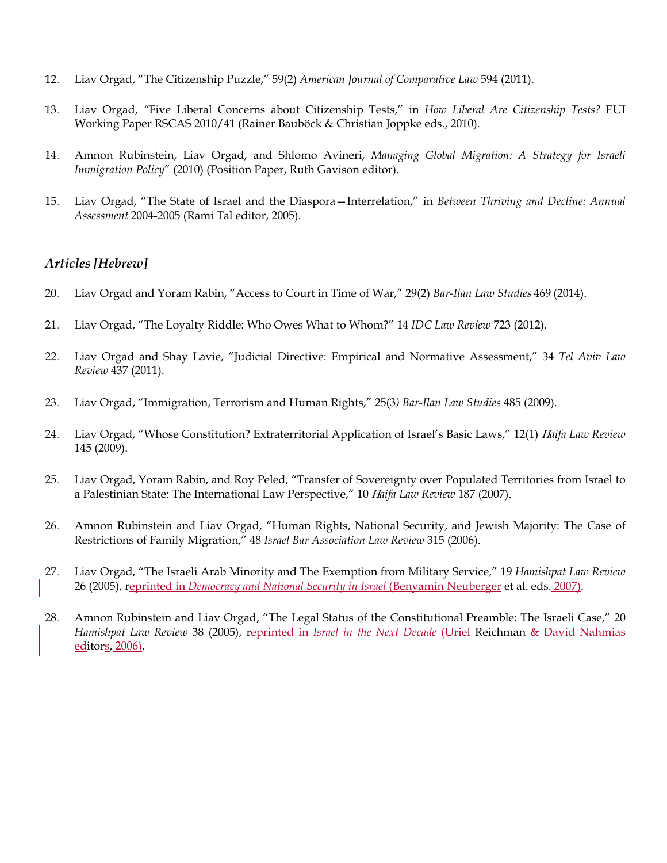- 12. Liav Orgad, "The Citizenship Puzzle," 59(2) *American Journal of Comparative Law* 594 (2011).
- 13. Liav Orgad, *"*Five Liberal Concerns about Citizenship Tests," in *How Liberal Are Citizenship Tests?* EUI Working Paper RSCAS 2010/41 (Rainer Bauböck & Christian Joppke eds., 2010).
- 14. Amnon Rubinstein, Liav Orgad, and Shlomo Avineri, *Managing Global Migration: A Strategy for Israeli Immigration Policy*" (2010) (Position Paper, Ruth Gavison editor).
- 15. Liav Orgad, "The State of Israel and the Diaspora—Interrelation," in *Between Thriving and Decline: Annual Assessment* 2004-2005 (Rami Tal editor, 2005).

#### *Articles [Hebrew]*

- 20. Liav Orgad and Yoram Rabin, "Access to Court in Time of War," 29(2) *Bar-Ilan Law Studies* 469 (2014).
- 21. Liav Orgad, "The Loyalty Riddle: Who Owes What to Whom?" 14 *IDC Law Review* 723 (2012).
- 22. Liav Orgad and Shay Lavie, "Judicial Directive: Empirical and Normative Assessment," 34 *Tel Aviv Law Review* 437 (2011).
- 23. Liav Orgad, "Immigration, Terrorism and Human Rights," 25(3*) Bar-Ilan Law Studies* 485 (2009).
- 24. Liav Orgad, "Whose Constitution? Extraterritorial Application of Israel's Basic Laws," 12(1) *Haifa Law Review*  145 (2009).
- 25. Liav Orgad, Yoram Rabin, and Roy Peled, "Transfer of Sovereignty over Populated Territories from Israel to a Palestinian State: The International Law Perspective," 10 *Haifa Law Review* 187 (2007).
- 26. Amnon Rubinstein and Liav Orgad, "Human Rights, National Security, and Jewish Majority: The Case of Restrictions of Family Migration," 48 *Israel Bar Association Law Review* 315 (2006).
- 27. Liav Orgad, "The Israeli Arab Minority and The Exemption from Military Service," 19 *Hamishpat Law Review* 26 (2005), reprinted in *Democracy and National Security in Israel* (Benyamin Neuberger et al. eds. 2007).
- 28. Amnon Rubinstein and Liav Orgad, "The Legal Status of the Constitutional Preamble: The Israeli Case," 20 *Hamishpat Law Review* 38 (2005), reprinted in *Israel in the Next Decade* (Uriel Reichman & David Nahmias editors, 2006).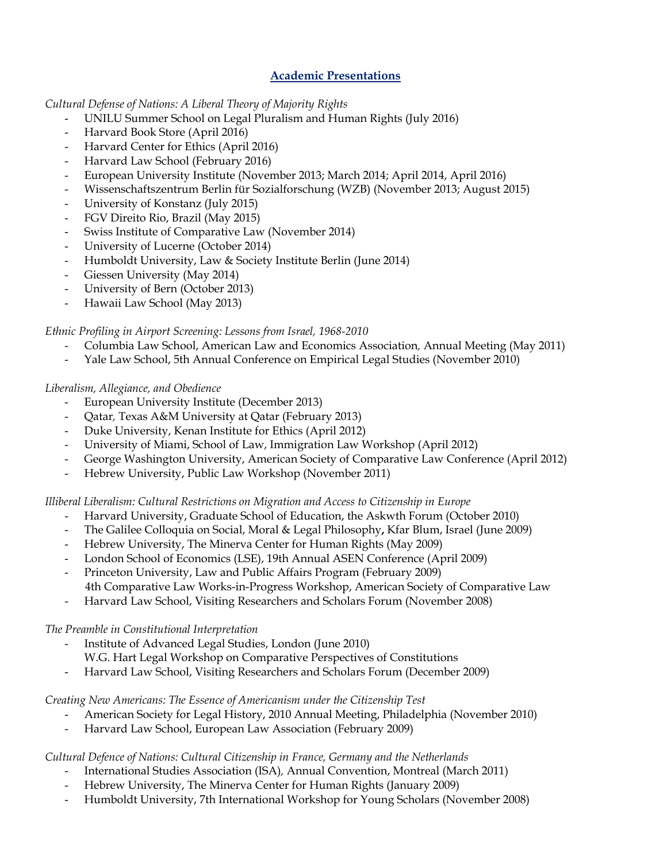# **Academic Presentations**

#### *Cultural Defense of Nations: A Liberal Theory of Majority Rights*

- UNILU Summer School on Legal Pluralism and Human Rights (July 2016)
- Harvard Book Store (April 2016)
- Harvard Center for Ethics (April 2016)
- Harvard Law School (February 2016)
- European University Institute (November 2013; March 2014; April 2014, April 2016)
- Wissenschaftszentrum Berlin für Sozialforschung (WZB) (November 2013; August 2015)
- University of Konstanz (July 2015)
- FGV Direito Rio, Brazil (May 2015)
- Swiss Institute of Comparative Law (November 2014)
- University of Lucerne (October 2014)
- Humboldt University, Law & Society Institute Berlin (June 2014)
- Giessen University (May 2014)
- University of Bern (October 2013)
- Hawaii Law School (May 2013)

# *Ethnic Profiling in Airport Screening: Lessons from Israel, 1968-2010*

- Columbia Law School, American Law and Economics Association*,* Annual Meeting (May 2011)
- Yale Law School, 5th Annual Conference on Empirical Legal Studies (November 2010)

# *Liberalism, Allegiance, and Obedience*

- European University Institute (December 2013)
- Qatar*,* Texas A&M University at Qatar (February 2013)
- Duke University, Kenan Institute for Ethics (April 2012)
- University of Miami, School of Law, Immigration Law Workshop (April 2012)
- George Washington University, American Society of Comparative Law Conference (April 2012)
- Hebrew University, Public Law Workshop (November 2011)

# *Illiberal Liberalism: Cultural Restrictions on Migration and Access to Citizenship in Europe*

- Harvard University, Graduate School of Education, the Askwth Forum (October 2010)
- The Galilee Colloquia on Social, Moral & Legal Philosophy**,** Kfar Blum, Israel (June 2009)
- Hebrew University, The Minerva Center for Human Rights (May 2009)
- London School of Economics (LSE), 19th Annual ASEN Conference (April 2009)
- Princeton University, Law and Public Affairs Program (February 2009) 4th Comparative Law Works-in-Progress Workshop, American Society of Comparative Law
- Harvard Law School, Visiting Researchers and Scholars Forum (November 2008)

# *The Preamble in Constitutional Interpretation*

- Institute of Advanced Legal Studies, London (June 2010)
- W.G. Hart Legal Workshop on Comparative Perspectives of Constitutions
- Harvard Law School, Visiting Researchers and Scholars Forum (December 2009)

# *Creating New Americans: The Essence of Americanism under the Citizenship Test*

- American Society for Legal History, 2010 Annual Meeting, Philadelphia (November 2010)
- Harvard Law School, European Law Association (February 2009)

# *Cultural Defence of Nations: Cultural Citizenship in France, Germany and the Netherlands*

- International Studies Association (ISA)*,* Annual Convention, Montreal (March 2011)
- Hebrew University, The Minerva Center for Human Rights (January 2009)
- Humboldt University, 7th International Workshop for Young Scholars (November 2008)